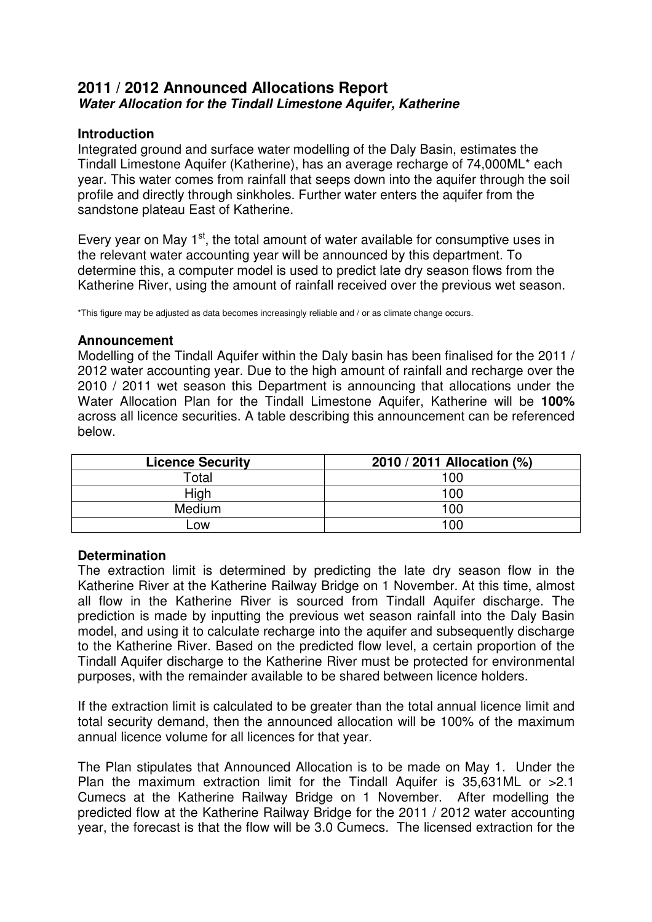## **2011 / 2012 Announced Allocations Report Water Allocation for the Tindall Limestone Aquifer, Katherine**

## **Introduction**

Integrated ground and surface water modelling of the Daly Basin, estimates the Tindall Limestone Aquifer (Katherine), has an average recharge of 74,000ML\* each year. This water comes from rainfall that seeps down into the aquifer through the soil profile and directly through sinkholes. Further water enters the aquifer from the sandstone plateau East of Katherine.

Every year on May  $1<sup>st</sup>$ , the total amount of water available for consumptive uses in the relevant water accounting year will be announced by this department. To determine this, a computer model is used to predict late dry season flows from the Katherine River, using the amount of rainfall received over the previous wet season.

\*This figure may be adjusted as data becomes increasingly reliable and / or as climate change occurs.

## **Announcement**

Modelling of the Tindall Aquifer within the Daly basin has been finalised for the 2011 / 2012 water accounting year. Due to the high amount of rainfall and recharge over the 2010 / 2011 wet season this Department is announcing that allocations under the Water Allocation Plan for the Tindall Limestone Aquifer, Katherine will be **100%** across all licence securities. A table describing this announcement can be referenced below.

| <b>Licence Security</b> | 2010 / 2011 Allocation (%) |
|-------------------------|----------------------------|
| Total                   | 100                        |
| High                    | 100                        |
| <b>Medium</b>           | 100                        |
| LOW                     | 100                        |

## **Determination**

The extraction limit is determined by predicting the late dry season flow in the Katherine River at the Katherine Railway Bridge on 1 November. At this time, almost all flow in the Katherine River is sourced from Tindall Aquifer discharge. The prediction is made by inputting the previous wet season rainfall into the Daly Basin model, and using it to calculate recharge into the aquifer and subsequently discharge to the Katherine River. Based on the predicted flow level, a certain proportion of the Tindall Aquifer discharge to the Katherine River must be protected for environmental purposes, with the remainder available to be shared between licence holders.

If the extraction limit is calculated to be greater than the total annual licence limit and total security demand, then the announced allocation will be 100% of the maximum annual licence volume for all licences for that year.

The Plan stipulates that Announced Allocation is to be made on May 1. Under the Plan the maximum extraction limit for the Tindall Aquifer is 35,631ML or >2.1 Cumecs at the Katherine Railway Bridge on 1 November. After modelling the predicted flow at the Katherine Railway Bridge for the 2011 / 2012 water accounting year, the forecast is that the flow will be 3.0 Cumecs. The licensed extraction for the